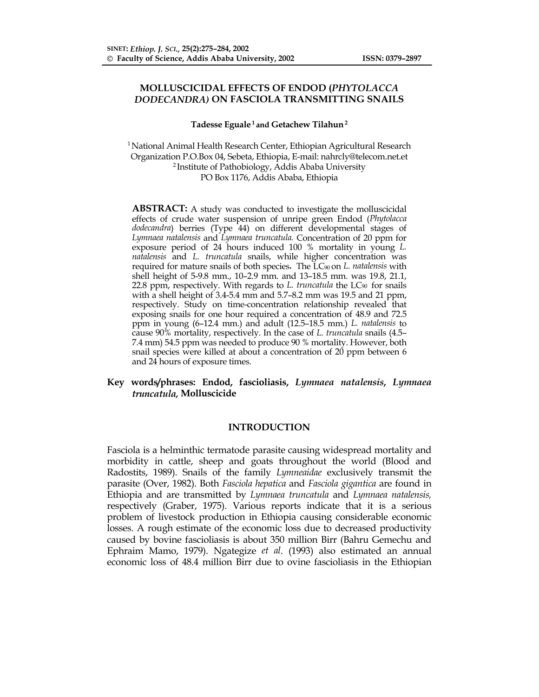# **MOLLUSCICIDAL EFFECTS OF ENDOD (***PHYTOLACCA DODECANDRA)* **ON FASCIOLA TRANSMITTING SNAILS**

### **Tadesse Eguale 1 and Getachew Tilahun 2**

1 National Animal Health Research Center, Ethiopian Agricultural Research Organization P.O.Box 04, Sebeta, Ethiopia, E-mail: nahrcly@telecom.net.et 2 Institute of Pathobiology, Addis Ababa University PO Box 1176, Addis Ababa, Ethiopia

**ABSTRACT:** A study was conducted to investigate the molluscicidal effects of crude water suspension of unripe green Endod (*Phytolacca dodecandra*) berries (Type 44) on different developmental stages of *Lymnaea natalensis* and *Lymnaea truncatula.* Concentration of 20 ppm for exposure period of 24 hours induced 100 % mortality in young *L. natalensis* and *L. truncatula* snails, while higher concentration was required for mature snails of both species**.** The LC90 on *L. natalensis* with shell height of 5-9.8 mm., 10–2.9 mm. and 13–18.5 mm. was 19.8, 21.1, 22.8 ppm, respectively. With regards to *L. truncatula* the LC90 for snails with a shell height of 3.4-5.4 mm and 5.7–8.2 mm was 19.5 and 21 ppm, respectively. Study on time-concentration relationship revealed that exposing snails for one hour required a concentration of 48.9 and 72.5 ppm in young (6–12.4 mm.) and adult (12.5–18.5 mm.) *L. natalensis* to cause 90% mortality, respectively. In the case of *L. truncatula* snails (4.5– 7.4 mm) 54.5 ppm was needed to produce 90 % mortality. However, both snail species were killed at about a concentration of 20 ppm between 6 and 24 hours of exposure times.

# **Key words/phrases: Endod, fascioliasis,** *Lymnaea natalensis***,** *Lymnaea truncatula,* **Molluscicide**

### **INTRODUCTION**

Fasciola is a helminthic termatode parasite causing widespread mortality and morbidity in cattle, sheep and goats throughout the world (Blood and Radostits, 1989). Snails of the family *Lymneaidae* exclusively transmit the parasite (Over, 1982). Both *Fasciola hepatica* and *Fasciola gigantica* are found in Ethiopia and are transmitted by *Lymnaea truncatula* and *Lymnaea natalensis,* respectively (Graber, 1975). Various reports indicate that it is a serious problem of livestock production in Ethiopia causing considerable economic losses. A rough estimate of the economic loss due to decreased productivity caused by bovine fascioliasis is about 350 million Birr (Bahru Gemechu and Ephraim Mamo, 1979). Ngategize *et al*. (1993) also estimated an annual economic loss of 48.4 million Birr due to ovine fascioliasis in the Ethiopian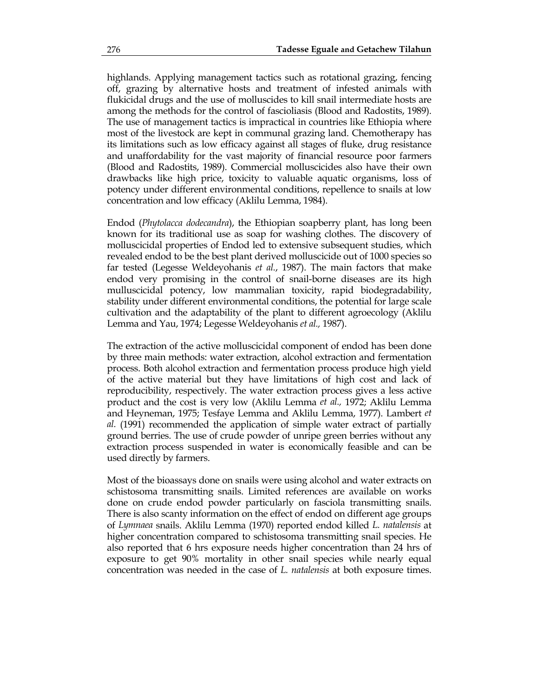highlands. Applying management tactics such as rotational grazing, fencing off, grazing by alternative hosts and treatment of infested animals with flukicidal drugs and the use of molluscides to kill snail intermediate hosts are among the methods for the control of fascioliasis (Blood and Radostits, 1989). The use of management tactics is impractical in countries like Ethiopia where most of the livestock are kept in communal grazing land. Chemotherapy has its limitations such as low efficacy against all stages of fluke, drug resistance and unaffordability for the vast majority of financial resource poor farmers (Blood and Radostits, 1989). Commercial molluscicides also have their own drawbacks like high price, toxicity to valuable aquatic organisms, loss of potency under different environmental conditions, repellence to snails at low concentration and low efficacy (Aklilu Lemma, 1984).

Endod (*Phytolacca dodecandra*), the Ethiopian soapberry plant, has long been known for its traditional use as soap for washing clothes. The discovery of molluscicidal properties of Endod led to extensive subsequent studies, which revealed endod to be the best plant derived molluscicide out of 1000 species so far tested (Legesse Weldeyohanis *et al.*, 1987). The main factors that make endod very promising in the control of snail-borne diseases are its high mulluscicidal potency, low mammalian toxicity, rapid biodegradability, stability under different environmental conditions, the potential for large scale cultivation and the adaptability of the plant to different agroecology (Aklilu Lemma and Yau, 1974; Legesse Weldeyohanis *et al.,* 1987).

The extraction of the active molluscicidal component of endod has been done by three main methods: water extraction, alcohol extraction and fermentation process. Both alcohol extraction and fermentation process produce high yield of the active material but they have limitations of high cost and lack of reproducibility, respectively. The water extraction process gives a less active product and the cost is very low (Aklilu Lemma *et al.,* 1972; Aklilu Lemma and Heyneman, 1975; Tesfaye Lemma and Aklilu Lemma, 1977). Lambert *et al.* (1991) recommended the application of simple water extract of partially ground berries. The use of crude powder of unripe green berries without any extraction process suspended in water is economically feasible and can be used directly by farmers.

Most of the bioassays done on snails were using alcohol and water extracts on schistosoma transmitting snails. Limited references are available on works done on crude endod powder particularly on fasciola transmitting snails. There is also scanty information on the effect of endod on different age groups of *Lymnaea* snails. Aklilu Lemma (1970) reported endod killed *L. natalensis* at higher concentration compared to schistosoma transmitting snail species. He also reported that 6 hrs exposure needs higher concentration than 24 hrs of exposure to get 90% mortality in other snail species while nearly equal concentration was needed in the case of *L. natalensis* at both exposure times.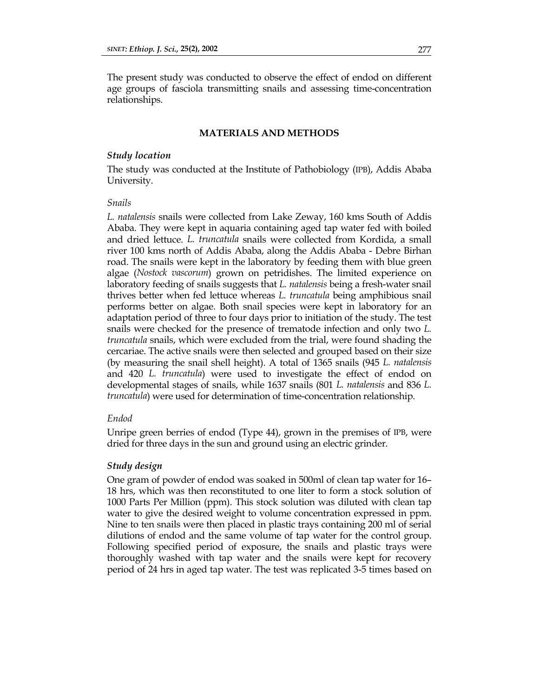The present study was conducted to observe the effect of endod on different age groups of fasciola transmitting snails and assessing time-concentration relationships.

# **MATERIALS AND METHODS**

# *Study location*

The study was conducted at the Institute of Pathobiology (IPB), Addis Ababa University.

# *Snails*

*L. natalensis* snails were collected from Lake Zeway, 160 kms South of Addis Ababa. They were kept in aquaria containing aged tap water fed with boiled and dried lettuce. *L. truncatula* snails were collected from Kordida, a small river 100 kms north of Addis Ababa, along the Addis Ababa - Debre Birhan road. The snails were kept in the laboratory by feeding them with blue green algae (*Nostock vascorum*) grown on petridishes. The limited experience on laboratory feeding of snails suggests that *L. natalensis* being a fresh-water snail thrives better when fed lettuce whereas *L. truncatula* being amphibious snail performs better on algae. Both snail species were kept in laboratory for an adaptation period of three to four days prior to initiation of the study. The test snails were checked for the presence of trematode infection and only two *L. truncatula* snails, which were excluded from the trial, were found shading the cercariae. The active snails were then selected and grouped based on their size (by measuring the snail shell height). A total of 1365 snails (945 *L. natalensis* and 420 *L. truncatula*) were used to investigate the effect of endod on developmental stages of snails, while 1637 snails (801 *L. natalensis* and 836 *L. truncatula*) were used for determination of time-concentration relationship.

## *Endod*

Unripe green berries of endod (Type 44), grown in the premises of IPB, were dried for three days in the sun and ground using an electric grinder.

### *Study design*

One gram of powder of endod was soaked in 500ml of clean tap water for 16– 18 hrs, which was then reconstituted to one liter to form a stock solution of 1000 Parts Per Million (ppm). This stock solution was diluted with clean tap water to give the desired weight to volume concentration expressed in ppm. Nine to ten snails were then placed in plastic trays containing 200 ml of serial dilutions of endod and the same volume of tap water for the control group. Following specified period of exposure, the snails and plastic trays were thoroughly washed with tap water and the snails were kept for recovery period of 24 hrs in aged tap water. The test was replicated 3-5 times based on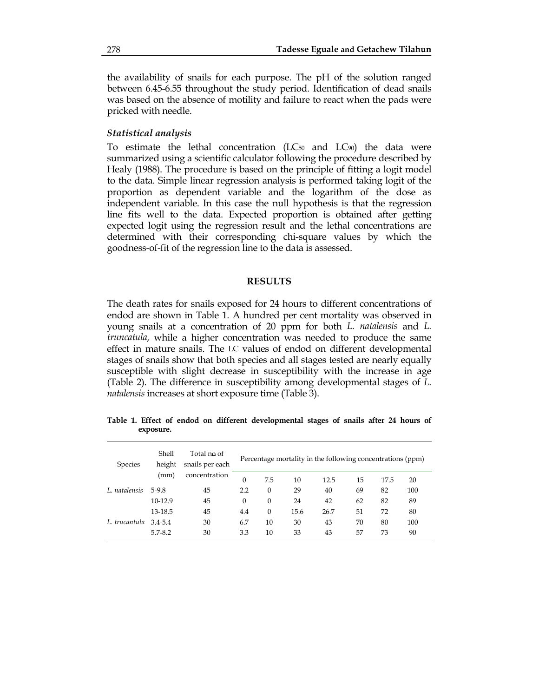the availability of snails for each purpose. The pH of the solution ranged between 6.45-6.55 throughout the study period. Identification of dead snails was based on the absence of motility and failure to react when the pads were pricked with needle.

### *Statistical analysis*

To estimate the lethal concentration (LC50 and LC90) the data were summarized using a scientific calculator following the procedure described by Healy (1988). The procedure is based on the principle of fitting a logit model to the data. Simple linear regression analysis is performed taking logit of the proportion as dependent variable and the logarithm of the dose as independent variable. In this case the null hypothesis is that the regression line fits well to the data. Expected proportion is obtained after getting expected logit using the regression result and the lethal concentrations are determined with their corresponding chi-square values by which the goodness-of-fit of the regression line to the data is assessed.

# **RESULTS**

The death rates for snails exposed for 24 hours to different concentrations of endod are shown in Table 1. A hundred per cent mortality was observed in young snails at a concentration of 20 ppm for both *L. natalensis* and *L. truncatula*, while a higher concentration was needed to produce the same effect in mature snails. The LC values of endod on different developmental stages of snails show that both species and all stages tested are nearly equally susceptible with slight decrease in susceptibility with the increase in age (Table 2). The difference in susceptibility among developmental stages of *L. natalensis* increases at short exposure time (Table 3).

**Table 1. Effect of endod on different developmental stages of snails after 24 hours of exposure.** 

| <b>Species</b> | Shell<br>height<br>(mm) | Total no of<br>snails per each<br>concentration | Percentage mortality in the following concentrations (ppm) |          |      |      |    |      |     |
|----------------|-------------------------|-------------------------------------------------|------------------------------------------------------------|----------|------|------|----|------|-----|
|                |                         |                                                 | $\Omega$                                                   | 7.5      | 10   | 12.5 | 15 | 17.5 | 20  |
| L. natalensis  | 5-9.8                   | 45                                              | 2.2                                                        | $\theta$ | 29   | 40   | 69 | 82   | 100 |
|                | 10-12.9                 | 45                                              | $\Omega$                                                   | $\theta$ | 24   | 42   | 62 | 82   | 89  |
|                | 13-18.5                 | 45                                              | 4.4                                                        | $\theta$ | 15.6 | 26.7 | 51 | 72   | 80  |
| L. trucantula  | $3.4 - 5.4$             | 30                                              | 6.7                                                        | 10       | 30   | 43   | 70 | 80   | 100 |
|                | $5.7 - 8.2$             | 30                                              | 3.3                                                        | 10       | 33   | 43   | 57 | 73   | 90  |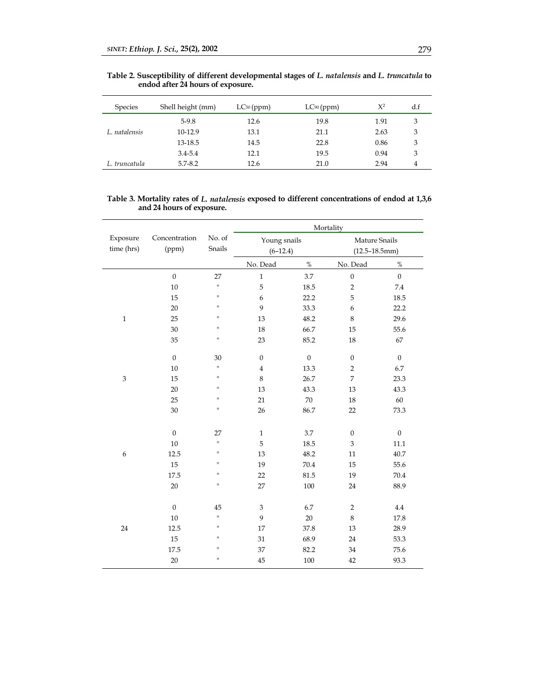| <b>Species</b> | Shell height (mm) | $LC_{50}$ (ppm) | LC90 (ppm) | $X^2$ | d.f |
|----------------|-------------------|-----------------|------------|-------|-----|
|                | $5-9.8$           | 12.6            | 19.8       | 1.91  | 3   |
| L. natalensis  | $10-12.9$         | 13.1            | 21.1       | 2.63  | 3   |
|                | 13-18.5           | 14.5            | 22.8       | 0.86  | 3   |
|                | $3.4 - 5.4$       | 12.1            | 19.5       | 0.94  | 3   |
| L. truncatula  | $5.7 - 8.2$       | 12.6            | 21.0       | 2.94  | 4   |

**Table 2. Susceptibility of different developmental stages of** *L. natalensis* **and** *L. truncatula* **to endod after 24 hours of exposure.** 

#### **Table 3. Mortality rates of** *L. natalensis* **exposed to different concentrations of endod at 1,3,6 and 24 hours of exposure.**

|                  |                  |             | Mortality            |                  |                       |                  |  |
|------------------|------------------|-------------|----------------------|------------------|-----------------------|------------------|--|
| Exposure         | Concentration    | No. of      | Young snails         |                  | Mature Snails         |                  |  |
| time (hrs)       | (ppm)            |             | Snails<br>$(6-12.4)$ |                  | $(12.5 - 18.5$ mm $)$ |                  |  |
|                  |                  |             | No. Dead             | $\%$             | No. Dead              | $\%$             |  |
|                  | $\boldsymbol{0}$ | 27          | $\,1$                | 3.7              | $\boldsymbol{0}$      | $\boldsymbol{0}$ |  |
|                  | $10\,$           | H.          | 5                    | 18.5             | $\sqrt{2}$            | 7.4              |  |
|                  | 15               | П           | 6                    | 22.2             | 5                     | 18.5             |  |
|                  | $20\,$           | П           | 9                    | 33.3             | $\epsilon$            | 22.2             |  |
| $\mathbf 1$      | 25               | H           | 13                   | 48.2             | $\,8\,$               | 29.6             |  |
|                  | $30\,$           | H           | 18                   | 66.7             | 15                    | 55.6             |  |
|                  | 35               | H.          | 23                   | 85.2             | $18\,$                | 67               |  |
|                  | $\boldsymbol{0}$ | 30          | $\boldsymbol{0}$     | $\boldsymbol{0}$ | $\boldsymbol{0}$      | $\boldsymbol{0}$ |  |
|                  | 10               | H.          | $\sqrt{4}$           | 13.3             | $\sqrt{2}$            | 6.7              |  |
| $\mathfrak{Z}$   | 15               | H           | $\,8\,$              | 26.7             | $\overline{7}$        | 23.3             |  |
|                  | 20               | п           | 13                   | 43.3             | 13                    | 43.3             |  |
|                  | 25               | H           | 21                   | $70\,$           | 18                    | 60               |  |
|                  | $30\,$           | П           | 26                   | 86.7             | 22                    | 73.3             |  |
|                  |                  |             |                      |                  |                       |                  |  |
|                  | $\mathbf{0}$     | 27          | $\mathbf{1}$         | 3.7              | $\boldsymbol{0}$      | $\boldsymbol{0}$ |  |
|                  | $10\,$           | H.          | 5                    | 18.5             | 3                     | 11.1             |  |
| $\boldsymbol{6}$ | 12.5             | П           | 13                   | 48.2             | 11                    | 40.7             |  |
|                  | 15               | H           | 19                   | 70.4             | 15                    | 55.6             |  |
|                  | 17.5             | П           | 22                   | 81.5             | 19                    | $70.4\,$         |  |
|                  | 20               | п           | 27                   | 100              | 24                    | 88.9             |  |
|                  | $\mathbf{0}$     | 45          | $\mathfrak{Z}$       | 6.7              | $\boldsymbol{2}$      | 4.4              |  |
|                  | 10               | $\bar{\Pi}$ | 9                    | $20\,$           | $\,8\,$               | 17.8             |  |
| 24               | 12.5             | П           | 17                   | 37.8             | 13                    | 28.9             |  |
|                  | 15               | п           | 31                   | 68.9             | $24\,$                | 53.3             |  |
|                  | 17.5             | H           | 37                   | 82.2             | 34                    | 75.6             |  |
|                  | $20\,$           | H           | 45                   | $100\,$          | 42                    | 93.3             |  |
|                  |                  |             |                      |                  |                       |                  |  |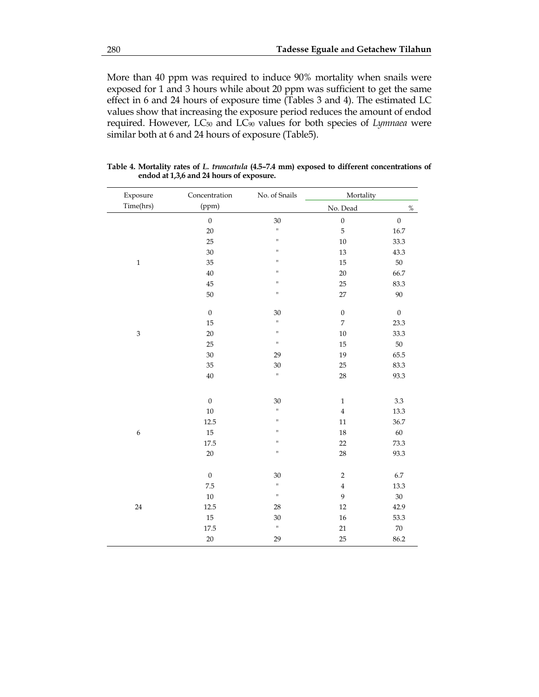More than 40 ppm was required to induce 90% mortality when snails were exposed for 1 and 3 hours while about 20 ppm was sufficient to get the same effect in 6 and 24 hours of exposure time (Tables 3 and 4). The estimated LC values show that increasing the exposure period reduces the amount of endod required. However, LC50 and LC90 values for both species of *Lymnaea* were similar both at 6 and 24 hours of exposure (Table5).

| Exposure                  | Concentration    | No. of Snails | Mortality        |                  |
|---------------------------|------------------|---------------|------------------|------------------|
| Time(hrs)                 | (ppm)            |               | No. Dead         | $\%$             |
|                           | $\boldsymbol{0}$ | 30            | $\boldsymbol{0}$ | $\boldsymbol{0}$ |
|                           | 20               | $\mathsf{H}$  | 5                | 16.7             |
|                           | 25               | $\sf H$       | $10\,$           | 33.3             |
|                           | $30\,$           | $\sf H$       | $13\,$           | 43.3             |
| $\mathbf 1$               | 35               | $\sf H$       | 15               | $50\,$           |
|                           | $40\,$           | $\sf H$       | $20\,$           | 66.7             |
|                           | 45               | $\sf H$       | 25               | 83.3             |
|                           | 50               | $\sf H$       | 27               | $90\,$           |
|                           | $\boldsymbol{0}$ | $30\,$        | $\boldsymbol{0}$ | $\boldsymbol{0}$ |
|                           | 15               | $\mathbf{H}$  | $\boldsymbol{7}$ | 23.3             |
| $\ensuremath{\mathbf{3}}$ | $20\,$           | $\mathsf{II}$ | $10\,$           | 33.3             |
|                           | 25               | $\mathbf{u}$  | 15               | $50\,$           |
|                           | 30               | 29            | 19               | 65.5             |
|                           | 35               | $30\,$        | 25               | 83.3             |
|                           | $40\,$           | $\mathsf{H}$  | 28               | 93.3             |
|                           | $\boldsymbol{0}$ | $30\,$        | $\mathbf 1$      | $3.3\,$          |
|                           | $10\,$           | $\mathsf{H}$  | $\bf{4}$         | 13.3             |
|                           | 12.5             | $\sf H$       | $11\,$           | 36.7             |
| 6                         | $15\,$           | $\sf H$       | $18\,$           | $60\,$           |
|                           | 17.5             | $\sf H$       | 22               | 73.3             |
|                           | $20\,$           | $\sf H$       | 28               | 93.3             |
|                           |                  |               |                  |                  |
|                           | $\boldsymbol{0}$ | $30\,$        | $\sqrt{2}$       | $6.7\,$          |
|                           | 7.5              | $\mathbf{u}$  | $\bf 4$          | 13.3             |
|                           | $10\,$           | $\bar{\rm H}$ | $\boldsymbol{9}$ | $30\,$           |
| 24                        | $12.5\,$         | 28            | 12               | 42.9             |
|                           | $15\,$           | $30\,$        | $16\,$           | 53.3             |
|                           | 17.5             | $\mathbf{H}$  | 21               | $70\,$           |
|                           | $20\,$           | 29            | 25               | 86.2             |

**Table 4. Mortality rates of** *L. truncatula* **(4.5–7.4 mm) exposed to different concentrations of endod at 1,3,6 and 24 hours of exposure.**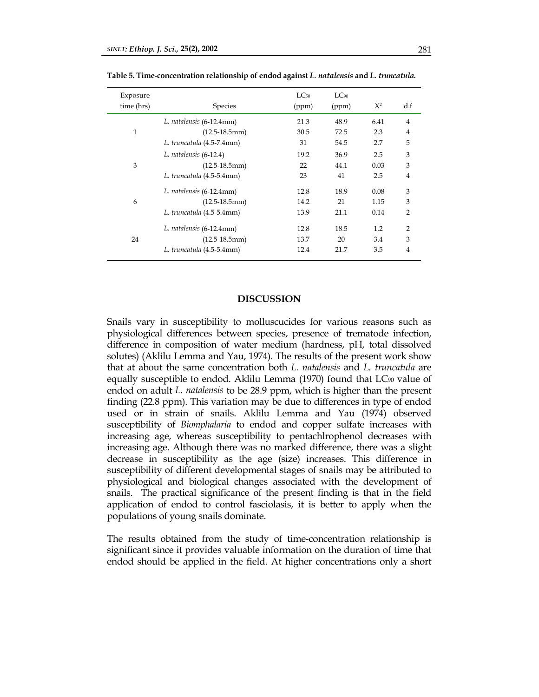| Exposure<br>time (hrs) | <b>Species</b>            | $LC_{50}$<br>(ppm) | LC90<br>(ppm) | $X^2$ | df             |
|------------------------|---------------------------|--------------------|---------------|-------|----------------|
|                        | L. natalensis (6-12.4mm)  | 21.3               | 48.9          | 6.41  | $\overline{4}$ |
| $\mathbf{1}$           | $(12.5-18.5mm)$           | 30.5               | 72.5          | 2.3   | $\overline{4}$ |
|                        | L. truncatula (4.5-7.4mm) | 31                 | 54.5          | 2.7   | 5              |
|                        | L. natalensis (6-12.4)    | 19.2               | 36.9          | 2.5   | 3              |
| 3                      | $(12.5-18.5mm)$           | 22                 | 44.1          | 0.03  | 3              |
|                        | L. truncatula (4.5-5.4mm) | 23                 | 41            | 2.5   | $\overline{4}$ |
|                        | L. natalensis (6-12.4mm)  | 12.8               | 18.9          | 0.08  | 3              |
| 6                      | $(12.5-18.5mm)$           | 14.2               | 21            | 1.15  | 3              |
|                        | L. truncatula (4.5-5.4mm) | 13.9               | 21.1          | 0.14  | $\overline{2}$ |
| 24                     | L. natalensis (6-12.4mm)  | 12.8               | 18.5          | 1.2   | $\overline{2}$ |
|                        | $(12.5-18.5mm)$           | 13.7               | 20            | 3.4   | 3              |
|                        | L. truncatula (4.5-5.4mm) | 12.4               | 21.7          | 3.5   | $\overline{4}$ |

**Table 5. Time-concentration relationship of endod against** *L. natalensis* **and** *L. truncatula.* 

# **DISCUSSION**

Snails vary in susceptibility to molluscucides for various reasons such as physiological differences between species, presence of trematode infection, difference in composition of water medium (hardness, pH, total dissolved solutes) (Aklilu Lemma and Yau, 1974). The results of the present work show that at about the same concentration both *L. natalensis* and *L. truncatula* are equally susceptible to endod. Aklilu Lemma (1970) found that LC90 value of endod on adult *L. natalensis* to be 28.9 ppm, which is higher than the present finding (22.8 ppm). This variation may be due to differences in type of endod used or in strain of snails. Aklilu Lemma and Yau (1974) observed susceptibility of *Biomphalaria* to endod and copper sulfate increases with increasing age, whereas susceptibility to pentachlrophenol decreases with increasing age. Although there was no marked difference, there was a slight decrease in susceptibility as the age (size) increases. This difference in susceptibility of different developmental stages of snails may be attributed to physiological and biological changes associated with the development of snails. The practical significance of the present finding is that in the field application of endod to control fasciolasis, it is better to apply when the populations of young snails dominate.

The results obtained from the study of time-concentration relationship is significant since it provides valuable information on the duration of time that endod should be applied in the field. At higher concentrations only a short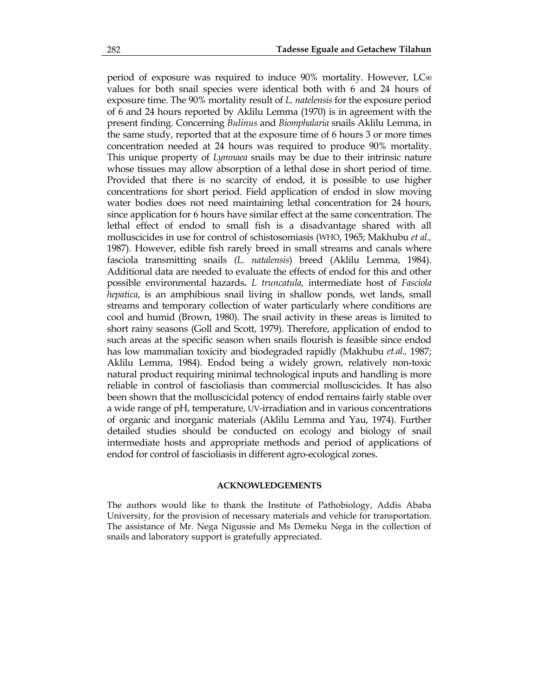period of exposure was required to induce 90% mortality. However, LC90 values for both snail species were identical both with 6 and 24 hours of exposure time. The 90% mortality result of *L. natelensis* for the exposure period of 6 and 24 hours reported by Aklilu Lemma (1970) is in agreement with the present finding. Concerning *Bulinus* and *Biomphalaria* snails Aklilu Lemma, in the same study, reported that at the exposure time of 6 hours 3 or more times concentration needed at 24 hours was required to produce 90% mortality. This unique property of *Lymnaea* snails may be due to their intrinsic nature whose tissues may allow absorption of a lethal dose in short period of time. Provided that there is no scarcity of endod, it is possible to use higher concentrations for short period. Field application of endod in slow moving water bodies does not need maintaining lethal concentration for 24 hours, since application for 6 hours have similar effect at the same concentration. The lethal effect of endod to small fish is a disadvantage shared with all molluscicides in use for control of schistosomiasis (WHO, 1965; Makhubu *et al.,* 1987). However, edible fish rarely breed in small streams and canals where fasciola transmitting snails *(L. natalensis*) breed (Aklilu Lemma, 1984). Additional data are needed to evaluate the effects of endod for this and other possible environmental hazards**.** *L truncatula,* intermediate host of *Fasciola hepatica*, is an amphibious snail living in shallow ponds, wet lands, small streams and temporary collection of water particularly where conditions are cool and humid (Brown, 1980). The snail activity in these areas is limited to short rainy seasons (Goll and Scott, 1979). Therefore, application of endod to such areas at the specific season when snails flourish is feasible since endod has low mammalian toxicity and biodegraded rapidly (Makhubu *et.al.,* 1987; Aklilu Lemma, 1984). Endod being a widely grown, relatively non-toxic natural product requiring minimal technological inputs and handling is more reliable in control of fascioliasis than commercial molluscicides. It has also been shown that the molluscicidal potency of endod remains fairly stable over a wide range of pH, temperature, UV-irradiation and in various concentrations of organic and inorganic materials (Aklilu Lemma and Yau, 1974). Further detailed studies should be conducted on ecology and biology of snail intermediate hosts and appropriate methods and period of applications of endod for control of fascioliasis in different agro-ecological zones.

### **ACKNOWLEDGEMENTS**

The authors would like to thank the Institute of Pathobiology, Addis Ababa University, for the provision of necessary materials and vehicle for transportation. The assistance of Mr. Nega Nigussie and Ms Demeku Nega in the collection of snails and laboratory support is gratefully appreciated.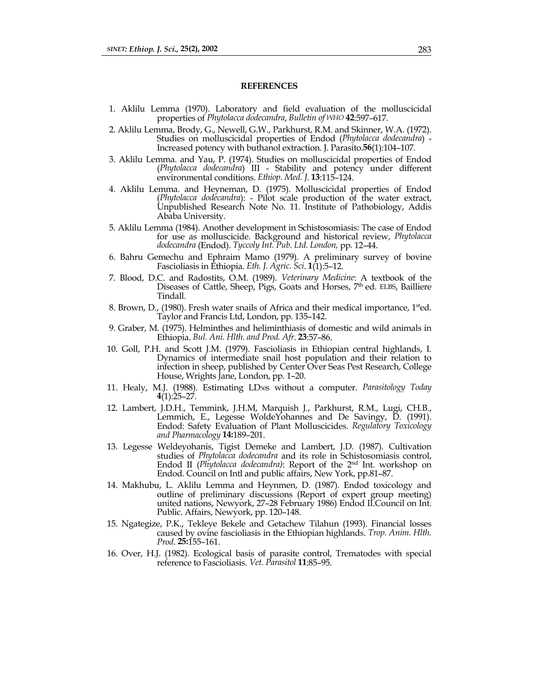#### **REFERENCES**

- 1. Aklilu Lemma (1970). Laboratory and field evaluation of the molluscicidal properties of *Phytolacca dodecandra*, *Bulletin of WHO* **42**:597–617.
- 2. Aklilu Lemma, Brody, G., Newell, G.W., Parkhurst, R.M. and Skinner, W.A. (1972). Studies on molluscicidal properties of Endod (*Phytolacca dodecandra*) - Increased potency with buthanol extraction. J. Parasito.**56**(1):104–107.
- 3. Aklilu Lemma. and Yau, P. (1974). Studies on molluscicidal properties of Endod (*Phytolacca dodecandra*) III - Stability and potency under different environmental conditions. *Ethiop. Med. J*. **13**:115–124.
- 4. Aklilu Lemma. and Heyneman, D. (1975). Molluscicidal properties of Endod (*Phytolacca dodecandra*): - Pilot scale production of the water extract, Unpublished Research Note No. 11. Institute of Pathobiology, Addis Ababa University.
- 5. Aklilu Lemma (1984). Another development in Schistosomiasis: The case of Endod for use as molluscicide. Background and historical review, *Phytolacca dodecandra* (Endod). *Tyccoly Int. Pub. Ltd. London,* pp*.* 12–44.
- 6. Bahru Gemechu and Ephraim Mamo (1979). A preliminary survey of bovine Fascioliasis in Ethiopia. *Eth. J. Agric. Sci*. **1**(1):5–12.
- 7. Blood, D.C. and Radostits, O.M. (1989). *Veterinary Medicine*: A textbook of the Diseases of Cattle, Sheep, Pigs, Goats and Horses, 7<sup>th</sup> ed. ELBS, Bailliere Tindall.
- 8. Brown, D., (1980). Fresh water snails of Africa and their medical importance, 1<sup>st</sup>ed. Taylor and Francis Ltd, London, pp. 135–142.
- 9. Graber, M. (1975). Helminthes and heliminthiasis of domestic and wild animals in Ethiopia. *Bul. Ani. Hlth. and Prod. Afr*. **23**:57–86.
- 10. Goll, P.H. and Scott J.M. (1979). Fascioliasis in Ethiopian central highlands, I. Dynamics of intermediate snail host population and their relation to infection in sheep, published by Center Over Seas Pest Research, College House, Wrights Jane, London, pp. 1–20.
- 11. Healy, M.J. (1988). Estimating LD50s without a computer. *Parasitology Today* **4**(1):25–27.
- 12. Lambert, J.D.H., Temmink, J.H.M, Marquish J., Parkhurst, R.M., Lugi, CH.B., Lemmich, E., Legesse WoldeYohannes and De Savingy, D. (1991). Endod: Safety Evaluation of Plant Molluscicides. *Regulatory Toxicology and Pharmacology* **14:**189–201.
- 13. Legesse Weldeyohanis, Tigist Demeke and Lambert, J.D. (1987). Cultivation studies of *Phytolacca dodecandra* and its role in Schistosomiasis control, Endod II (*Phytolacca dodecandra)*: Report of the 2nd Int. workshop on Endod. Council on Intl and public affairs, New York, pp.81–87.
- 14. Makhubu, L. Aklilu Lemma and Heynmen, D. (1987). Endod toxicology and outline of preliminary discussions (Report of expert group meeting) united nations, Newyork, 27–28 February 1986) Endod II.Council on Int. Public. Affairs, Newyork, pp. 120–148.
- 15. Ngategize, P.K., Tekleye Bekele and Getachew Tilahun (1993). Financial losses caused by ovine fascioliasis in the Ethiopian highlands. *Trop. Anim. Hlth. Prod*. **25:**155–161.
- 16. Over, H.J. (1982). Ecological basis of parasite control, Trematodes with special reference to Fascioliasis. *Vet. Parasitol* **11**:85–95.